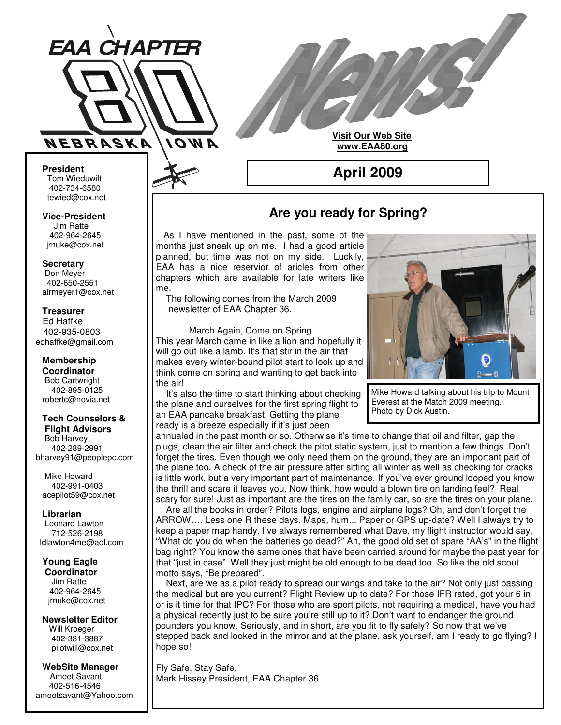

**Visit Our Web Site www.EAA80.org**

**April 2009**

**President** Tom Wieduwilt 402-734-6580 tewied@cox.net

**Vice-President** Jim Ratte 402-964-2645 jrnuke@cox.net

**Secretary** Don Meyer 402-650-2551 airmeyer1@cox.net

**Treasurer** Ed Haffke 402-935-0803 eohaffke@gmail.com

**Membership Coordinator** Bob Cartwright 402-895-0125 robertc@novia.net

#### **Tech Counselors & Flight Advisors**

Bob Harvey 402-289-2991 bharvey91@peoplepc.com

Mike Howard 402-991-0403 acepilot59@cox.net

**Librarian** Leonard Lawton 712-526-2198 ldlawton4me@aol.com

**Young Eagle Coordinator** Jim Ratte 402-964-2645

jrnuke@cox.net

**Newsletter Editor** Will Kroeger 402-331-3887 pilotwill@cox.net

**WebSite Manager** Ameet Savant 402-516-4546 ameetsavant@Yahoo.com

## **Are you ready for Spring?**

As I have mentioned in the past, some of the months just sneak up on me. I had a good article planned, but time was not on my side. Luckily, EAA has a nice reservior of aricles from other chapters which are available for late writers like me.

The following comes from the March 2009 newsletter of EAA Chapter 36.

March Again, Come on Spring This year March came in like a lion and hopefully it will go out like a lamb. It's that stir in the air that makes every winter-bound pilot start to look up and think come on spring and wanting to get back into the air!

It's also the time to start thinking about checking the plane and ourselves for the first spring flight to an EAA pancake breakfast. Getting the plane ready is a breeze especially if it's just been



Mike Howard talking about his trip to Mount Everest at the Match 2009 meeting. Photo by Dick Austin.

annualed in the past month or so. Otherwise it's time to change that oil and filter, gap the plugs, clean the air filter and check the pitot static system, just to mention a few things. Don't forget the tires. Even though we only need them on the ground, they are an important part of the plane too. A check of the air pressure after sitting all winter as well as checking for cracks is little work, but a very important part of maintenance. If you've ever ground looped you know the thrill and scare it leaves you. Now think, how would a blown tire on landing feel? Real scary for sure! Just as important are the tires on the family car, so are the tires on your plane.

Are all the books in order? Pilots logs, engine and airplane logs? Oh, and don't forget the ARROW…. Less one R these days. Maps, hum... Paper or GPS up-date? Well I always try to keep a paper map handy. I've always remembered what Dave, my flight instructor would say, "What do you do when the batteries go dead?" Ah, the good old set of spare "AA's" in the flight bag right? You know the same ones that have been carried around for maybe the past year for that "just in case". Well they just might be old enough to be dead too. So like the old scout motto says, "Be prepared".

Next, are we as a pilot ready to spread our wings and take to the air? Not only just passing the medical but are you current? Flight Review up to date? For those IFR rated, got your 6 in or is it time for that IPC? For those who are sport pilots, not requiring a medical, have you had a physical recently just to be sure you're still up to it? Don't want to endanger the ground pounders you know. Seriously, and in short, are you fit to fly safely? So now that we've stepped back and looked in the mirror and at the plane, ask yourself, am I ready to go flying? I hope so!

Fly Safe, Stay Safe, Mark Hissey President, EAA Chapter 36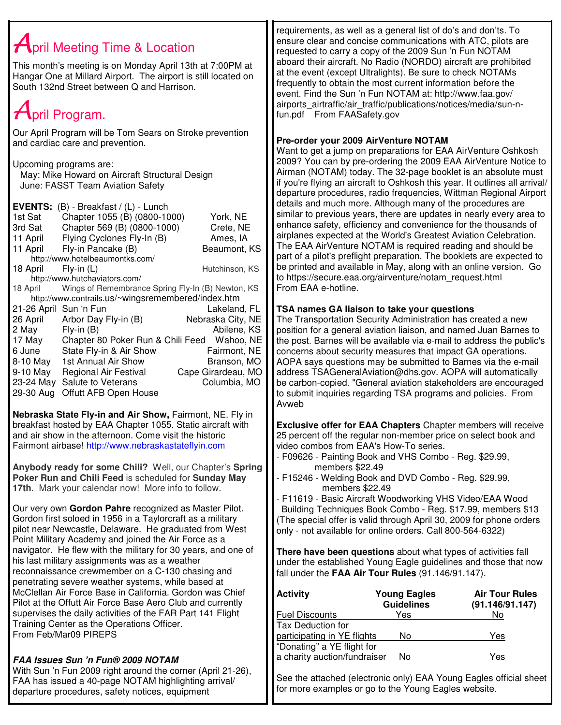# $A$ pril Meeting Time & Location

This month's meeting is on Monday April 13th at 7:00PM at Hangar One at Millard Airport. The airport is still located on South 132nd Street between Q and Harrison.

# $A$ pril Program.

Our April Program will be Tom Sears on Stroke prevention and cardiac care and prevention.

Upcoming programs are:

May: Mike Howard on Aircraft Structural Design June: FASST Team Aviation Safety

| <b>EVENTS:</b>                                     | $(B)$ - Breakfast / $(L)$ - Lunch                 |                    |  |  |
|----------------------------------------------------|---------------------------------------------------|--------------------|--|--|
| 1st Sat                                            | Chapter 1055 (B) (0800-1000)                      | York, NE           |  |  |
| 3rd Sat                                            | Chapter 569 (B) (0800-1000)                       | Crete, NE          |  |  |
| 11 April                                           | Flying Cyclones Fly-In (B)                        | Ames, IA           |  |  |
| 11 April                                           | Fly-in Pancake (B)                                | Beaumont, KS       |  |  |
| http://www.hotelbeaumontks.com/                    |                                                   |                    |  |  |
| 18 April                                           | $Fly-in(L)$                                       | Hutchinson, KS     |  |  |
|                                                    | http://www.hutchaviators.com/                     |                    |  |  |
| 18 April                                           | Wings of Remembrance Spring Fly-In (B) Newton, KS |                    |  |  |
| http://www.contrails.us/~wingsremembered/index.htm |                                                   |                    |  |  |
| 21-26 April Sun 'n Fun                             |                                                   | Lakeland, FL       |  |  |
| 26 April                                           | Arbor Day Fly-in (B)                              | Nebraska City, NE  |  |  |
| 2 May                                              | $Fly-in(B)$                                       | Abilene, KS        |  |  |
| 17 May                                             | Chapter 80 Poker Run & Chili Feed                 | Wahoo, NE          |  |  |
| 6 June                                             | State Fly-in & Air Show                           | Fairmont, NE       |  |  |
| 8-10 May                                           | 1st Annual Air Show                               | Branson, MO        |  |  |
| 9-10 May                                           | <b>Regional Air Festival</b>                      | Cape Girardeau, MO |  |  |
| 23-24 May                                          | Salute to Veterans                                | Columbia, MO       |  |  |
| 29-30 Aug                                          | Offutt AFB Open House                             |                    |  |  |

**Nebraska State Fly-in and Air Show,** Fairmont, NE. Fly in breakfast hosted by EAA Chapter 1055. Static aircraft with and air show in the afternoon. Come visit the historic Fairmont airbase! http://www.nebraskastateflyin.com

**Anybody ready for some Chili?** Well, our Chapter's **Spring Poker Run and Chili Feed** is scheduled for **Sunday May 17th**. Mark your calendar now! More info to follow.

Our very own **Gordon Pahre** recognized as Master Pilot. Gordon first soloed in 1956 in a Taylorcraft as a military pilot near Newcastle, Delaware. He graduated from West Point Military Academy and joined the Air Force as a navigator. He flew with the military for 30 years, and one of his last military assignments was as a weather reconnaissance crewmember on a C-130 chasing and penetrating severe weather systems, while based at McClellan Air Force Base in California. Gordon was Chief Pilot at the Offutt Air Force Base Aero Club and currently supervises the daily activities of the FAR Part 141 Flight Training Center as the Operations Officer. From Feb/Mar09 PIREPS

## *FAA Issues Sun 'n Fun® 2009 NOTAM*

With Sun 'n Fun 2009 right around the corner (April 21-26), FAA has issued a 40-page NOTAM highlighting arrival/ departure procedures, safety notices, equipment

requirements, as well as a general list of do's and don'ts. To ensure clear and concise communications with ATC, pilots are requested to carry a copy of the 2009 Sun 'n Fun NOTAM aboard their aircraft. No Radio (NORDO) aircraft are prohibited at the event (except Ultralights). Be sure to check NOTAMs frequently to obtain the most current information before the event. Find the Sun 'n Fun NOTAM at: http://www.faa.gov/ airports airtraffic/air\_traffic/publications/notices/media/sun-nfun.pdf From FAASafety.gov

## **Pre-order your 2009 AirVenture NOTAM**

Want to get a jump on preparations for EAA AirVenture Oshkosh 2009? You can by pre-ordering the 2009 EAA AirVenture Notice to Airman (NOTAM) today. The 32-page booklet is an absolute must if you're flying an aircraft to Oshkosh this year. It outlines all arrival/ departure procedures, radio frequencies, Wittman Regional Airport details and much more. Although many of the procedures are similar to previous years, there are updates in nearly every area to enhance safety, efficiency and convenience for the thousands of airplanes expected at the World's Greatest Aviation Celebration. The EAA AirVenture NOTAM is required reading and should be part of a pilot's preflight preparation. The booklets are expected to be printed and available in May, along with an online version. Go to https://secure.eaa.org/airventure/notam\_request.html From EAA e-hotline.

## **TSA names GA liaison to take your questions**

The Transportation Security Administration has created a new position for a general aviation liaison, and named Juan Barnes to the post. Barnes will be available via e-mail to address the public's concerns about security measures that impact GA operations. AOPA says questions may be submitted to Barnes via the e-mail address TSAGeneralAviation@dhs.gov. AOPA will automatically be carbon-copied. "General aviation stakeholders are encouraged to submit inquiries regarding TSA programs and policies. From Avweb

**Exclusive offer for EAA Chapters** Chapter members will receive 25 percent off the regular non-member price on select book and video combos from EAA's How-To series.

- F09626 Painting Book and VHS Combo Reg. \$29.99, members \$22.49
- F15246 Welding Book and DVD Combo Reg. \$29.99, members \$22.49
- F11619 Basic Aircraft Woodworking VHS Video/EAA Wood Building Techniques Book Combo - Reg. \$17.99, members \$13 (The special offer is valid through April 30, 2009 for phone orders only - not available for online orders. Call 800-564-6322)

**There have been questions** about what types of activities fall under the established Young Eagle guidelines and those that now fall under the **FAA Air Tour Rules** (91.146/91.147).

| <b>Activity</b>                                            | <b>Young Eagles</b><br><b>Guidelines</b> | <b>Air Tour Rules</b><br>(91.146/91.147) |
|------------------------------------------------------------|------------------------------------------|------------------------------------------|
| <b>Fuel Discounts</b>                                      | Yes                                      | No                                       |
| <b>Tax Deduction for</b>                                   |                                          |                                          |
| participating in YE flights                                | No                                       | Yes                                      |
| "Donating" a YE flight for<br>a charity auction/fundraiser | No                                       | Yes                                      |

See the attached (electronic only) EAA Young Eagles official sheet for more examples or go to the Young Eagles website.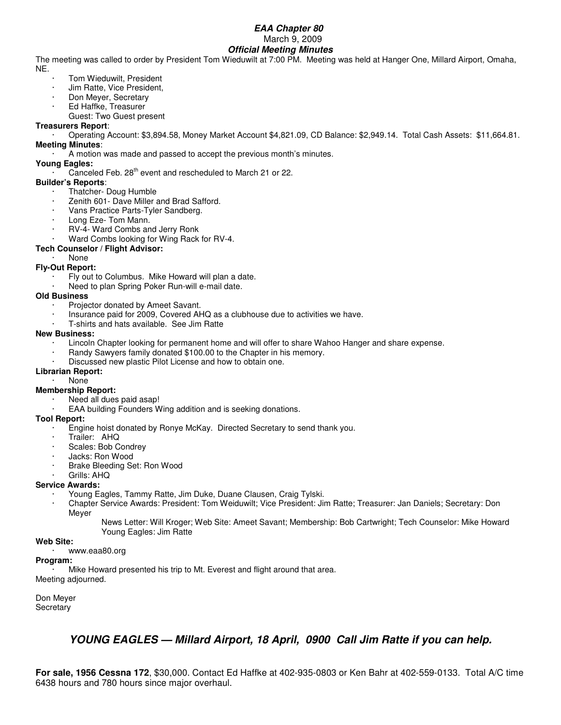### *EAA Chapter 80* March 9, 2009 *Official Meeting Minutes*

The meeting was called to order by President Tom Wieduwilt at 7:00 PM. Meeting was held at Hanger One, Millard Airport, Omaha, NE.

- Tom Wieduwilt, President
- · Jim Ratte, Vice President,
- Don Meyer, Secretary
- · Ed Haffke, Treasurer
- Guest: Two Guest present

## **Treasurers Report**:

· Operating Account: \$3,894.58, Money Market Account \$4,821.09, CD Balance: \$2,949.14. Total Cash Assets: \$11,664.81. **Meeting Minutes**:

· A motion was made and passed to accept the previous month's minutes.

## **Young Eagles:**

 $\cdot$  Canceled Feb. 28<sup>th</sup> event and rescheduled to March 21 or 22.

## **Builder's Reports**:

- Thatcher- Doug Humble
- Zenith 601- Dave Miller and Brad Safford.
- Vans Practice Parts-Tyler Sandberg.
- Long Eze- Tom Mann.
- RV-4- Ward Combs and Jerry Ronk
- Ward Combs looking for Wing Rack for RV-4.

## **Tech Counselor / Flight Advisor:**

## · None

- **Fly-Out Report:**
	- Fly out to Columbus. Mike Howard will plan a date.
	- Need to plan Spring Poker Run-will e-mail date.

## **Old Business**

- Projector donated by Ameet Savant.
- · Insurance paid for 2009, Covered AHQ as a clubhouse due to activities we have.
- · T-shirts and hats available. See Jim Ratte

### **New Business:**

- Lincoln Chapter looking for permanent home and will offer to share Wahoo Hanger and share expense.
- Randy Sawyers family donated \$100.00 to the Chapter in his memory.
- Discussed new plastic Pilot License and how to obtain one.

## **Librarian Report:**

· None

## **Membership Report:**

- Need all dues paid asap!
- EAA building Founders Wing addition and is seeking donations.

#### **Tool Report:**

- · Engine hoist donated by Ronye McKay. Directed Secretary to send thank you.
- Trailer: AHQ
- Scales: Bob Condrey
- Jacks: Ron Wood
- Brake Bleeding Set: Ron Wood
- Grills: AHQ

## **Service Awards:**

- · Young Eagles, Tammy Ratte, Jim Duke, Duane Clausen, Craig Tylski.
- · Chapter Service Awards: President: Tom Weiduwilt; Vice President: Jim Ratte; Treasurer: Jan Daniels; Secretary: Don Meyer
	- News Letter: Will Kroger; Web Site: Ameet Savant; Membership: Bob Cartwright; Tech Counselor: Mike Howard Young Eagles: Jim Ratte

#### **Web Site:**

#### · www.eaa80.org

#### **Program:**

Mike Howard presented his trip to Mt. Everest and flight around that area. Meeting adjourned.

Don Meyer **Secretary** 

## *YOUNG EAGLES — Millard Airport, 18 April, 0900 Call Jim Ratte if you can help.*

**For sale, 1956 Cessna 172**, \$30,000. Contact Ed Haffke at 402-935-0803 or Ken Bahr at 402-559-0133. Total A/C time 6438 hours and 780 hours since major overhaul.